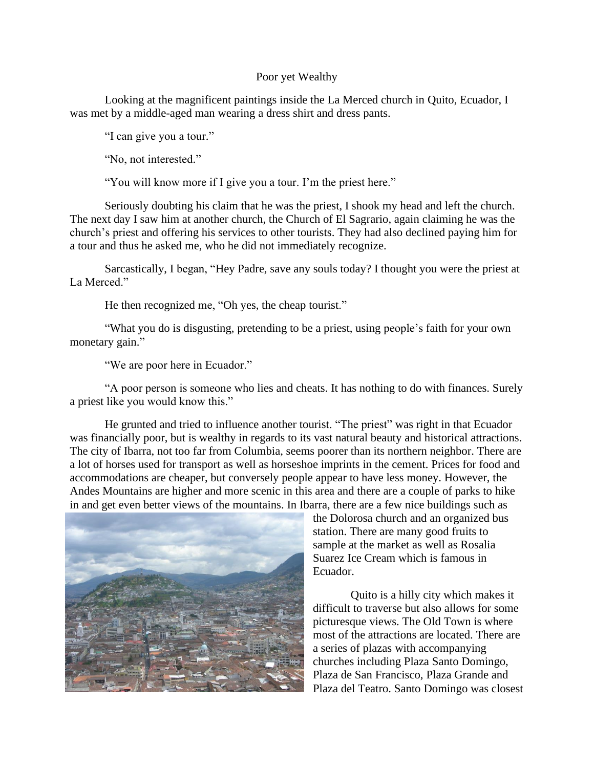## Poor yet Wealthy

Looking at the magnificent paintings inside the La Merced church in Quito, Ecuador, I was met by a middle-aged man wearing a dress shirt and dress pants.

"I can give you a tour."

"No, not interested."

"You will know more if I give you a tour. I'm the priest here."

Seriously doubting his claim that he was the priest, I shook my head and left the church. The next day I saw him at another church, the Church of El Sagrario, again claiming he was the church's priest and offering his services to other tourists. They had also declined paying him for a tour and thus he asked me, who he did not immediately recognize.

Sarcastically, I began, "Hey Padre, save any souls today? I thought you were the priest at La Merced."

He then recognized me, "Oh yes, the cheap tourist."

"What you do is disgusting, pretending to be a priest, using people's faith for your own monetary gain."

"We are poor here in Ecuador."

"A poor person is someone who lies and cheats. It has nothing to do with finances. Surely a priest like you would know this."

He grunted and tried to influence another tourist. "The priest" was right in that Ecuador was financially poor, but is wealthy in regards to its vast natural beauty and historical attractions. The city of Ibarra, not too far from Columbia, seems poorer than its northern neighbor. There are a lot of horses used for transport as well as horseshoe imprints in the cement. Prices for food and accommodations are cheaper, but conversely people appear to have less money. However, the Andes Mountains are higher and more scenic in this area and there are a couple of parks to hike in and get even better views of the mountains. In Ibarra, there are a few nice buildings such as



the Dolorosa church and an organized bus station. There are many good fruits to sample at the market as well as Rosalia Suarez Ice Cream which is famous in Ecuador.

Quito is a hilly city which makes it difficult to traverse but also allows for some picturesque views. The Old Town is where most of the attractions are located. There are a series of plazas with accompanying churches including Plaza Santo Domingo, Plaza de San Francisco, Plaza Grande and Plaza del Teatro. Santo Domingo was closest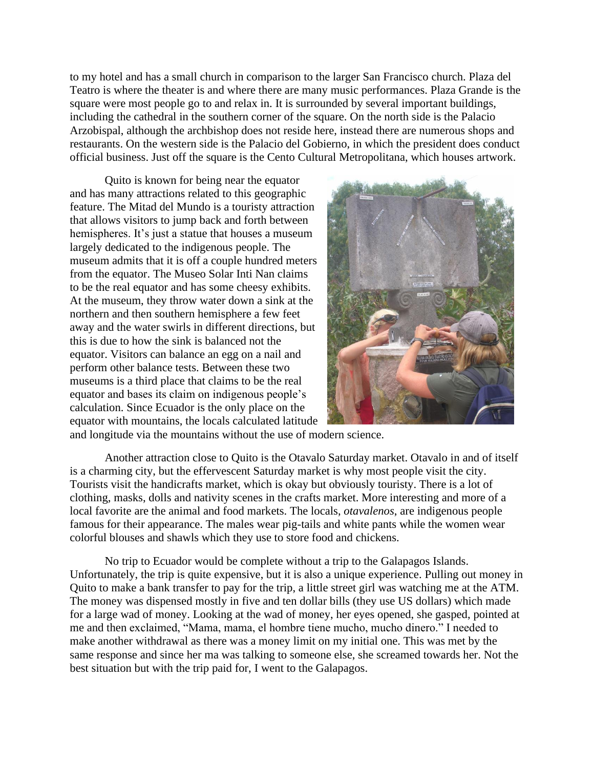to my hotel and has a small church in comparison to the larger San Francisco church. Plaza del Teatro is where the theater is and where there are many music performances. Plaza Grande is the square were most people go to and relax in. It is surrounded by several important buildings, including the cathedral in the southern corner of the square. On the north side is the Palacio Arzobispal, although the archbishop does not reside here, instead there are numerous shops and restaurants. On the western side is the Palacio del Gobierno, in which the president does conduct official business. Just off the square is the Cento Cultural Metropolitana, which houses artwork.

Quito is known for being near the equator and has many attractions related to this geographic feature. The Mitad del Mundo is a touristy attraction that allows visitors to jump back and forth between hemispheres. It's just a statue that houses a museum largely dedicated to the indigenous people. The museum admits that it is off a couple hundred meters from the equator. The Museo Solar Inti Nan claims to be the real equator and has some cheesy exhibits. At the museum, they throw water down a sink at the northern and then southern hemisphere a few feet away and the water swirls in different directions, but this is due to how the sink is balanced not the equator. Visitors can balance an egg on a nail and perform other balance tests. Between these two museums is a third place that claims to be the real equator and bases its claim on indigenous people's calculation. Since Ecuador is the only place on the equator with mountains, the locals calculated latitude



and longitude via the mountains without the use of modern science.

Another attraction close to Quito is the Otavalo Saturday market. Otavalo in and of itself is a charming city, but the effervescent Saturday market is why most people visit the city. Tourists visit the handicrafts market, which is okay but obviously touristy. There is a lot of clothing, masks, dolls and nativity scenes in the crafts market. More interesting and more of a local favorite are the animal and food markets. The locals, *otavalenos*, are indigenous people famous for their appearance. The males wear pig-tails and white pants while the women wear colorful blouses and shawls which they use to store food and chickens.

No trip to Ecuador would be complete without a trip to the Galapagos Islands. Unfortunately, the trip is quite expensive, but it is also a unique experience. Pulling out money in Quito to make a bank transfer to pay for the trip, a little street girl was watching me at the ATM. The money was dispensed mostly in five and ten dollar bills (they use US dollars) which made for a large wad of money. Looking at the wad of money, her eyes opened, she gasped, pointed at me and then exclaimed, "Mama, mama, el hombre tiene mucho, mucho dinero." I needed to make another withdrawal as there was a money limit on my initial one. This was met by the same response and since her ma was talking to someone else, she screamed towards her. Not the best situation but with the trip paid for, I went to the Galapagos.